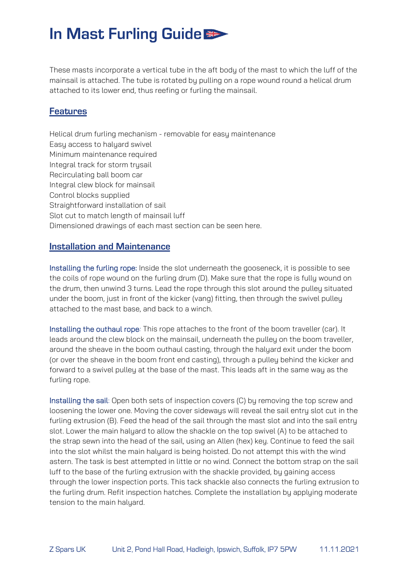## In Mast Furling Guide

These masts incorporate a vertical tube in the aft body of the mast to which the luff of the mainsail is attached. The tube is rotated by pulling on a rope wound round a helical drum attached to its lower end, thus reefing or furling the mainsail.

#### **Features**

Helical drum furling mechanism - removable for easy maintenance Easy access to halyard swivel Minimum maintenance required Integral track for storm trysail Recirculating ball boom car Integral clew block for mainsail Control blocks supplied Straightforward installation of sail Slot cut to match length of mainsail luff Dimensioned drawings of each mast section can be seen here.

#### **Installation and Maintenance**

Installing the furling rope: Inside the slot underneath the gooseneck, it is possible to see the coils of rope wound on the furling drum (D). Make sure that the rope is fully wound on the drum, then unwind 3 turns. Lead the rope through this slot around the pulley situated under the boom, just in front of the kicker (vang) fitting, then through the swivel pulley attached to the mast base, and back to a winch.

Installing the outhaul rope*:* This rope attaches to the front of the boom traveller (car). It leads around the clew block on the mainsail, underneath the pulley on the boom traveller, around the sheave in the boom outhaul casting, through the halyard exit under the boom (or over the sheave in the boom front end casting), through a pulley behind the kicker and forward to a swivel pulley at the base of the mast. This leads aft in the same way as the furling rope.

Installing the sail: Open both sets of inspection covers (C) by removing the top screw and loosening the lower one. Moving the cover sideways will reveal the sail entry slot cut in the furling extrusion (B). Feed the head of the sail through the mast slot and into the sail entry slot. Lower the main halyard to allow the shackle on the top swivel (A) to be attached to the strap sewn into the head of the sail, using an Allen (hex) key. Continue to feed the sail into the slot whilst the main halyard is being hoisted. Do not attempt this with the wind astern. The task is best attempted in little or no wind. Connect the bottom strap on the sail luff to the base of the furling extrusion with the shackle provided, by gaining access through the lower inspection ports. This tack shackle also connects the furling extrusion to the furling drum. Refit inspection hatches. Complete the installation by applying moderate tension to the main halyard.